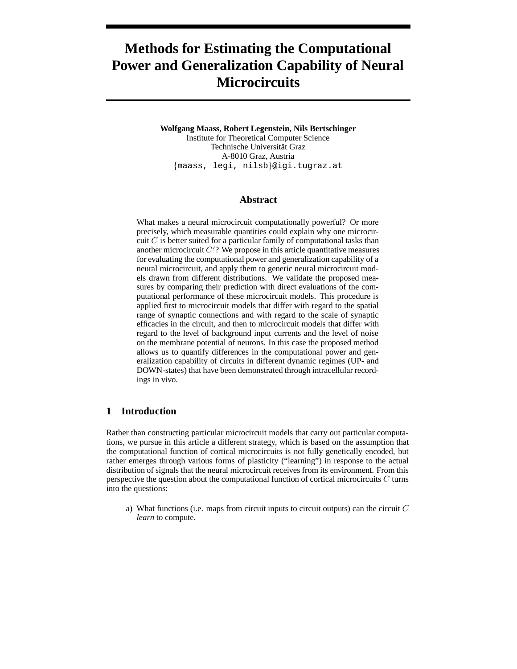# **Methods for Estimating the Computational Power and Generalization Capability of Neural Microcircuits**

**Wolfgang Maass, Robert Legenstein, Nils Bertschinger** Institute for Theoretical Computer Science Technische Universität Graz A-8010 Graz, Austria {maass, legi, nilsb}@igi.tugraz.at

### **Abstract**

What makes a neural microcircuit computationally powerful? Or more precisely, which measurable quantities could explain why one microcircuit  $C$  is better suited for a particular family of computational tasks than another microcircuit  $C$ <sup>'</sup>? We propose in this article quantitative measures for evaluating the computational power and generalization capability of a neural microcircuit, and apply them to generic neural microcircuit models drawn from different distributions. We validate the proposed measures by comparing their prediction with direct evaluations of the computational performance of these microcircuit models. This procedure is applied first to microcircuit models that differ with regard to the spatial range of synaptic connections and with regard to the scale of synaptic efficacies in the circuit, and then to microcircuit models that differ with regard to the level of background input currents and the level of noise on the membrane potential of neurons. In this case the proposed method allows us to quantify differences in the computational power and generalization capability of circuits in different dynamic regimes (UP- and DOWN-states) that have been demonstrated through intracellular recordings in vivo.

## **1 Introduction**

Rather than constructing particular microcircuit models that carry out particular computations, we pursue in this article a different strategy, which is based on the assumption that the computational function of cortical microcircuits is not fully genetically encoded, but rather emerges through various forms of plasticity ("learning") in response to the actual distribution of signals that the neural microcircuit receives from its environment. From this perspective the question about the computational function of cortical microcircuits  $C$  turns into the questions:

a) What functions (i.e. maps from circuit inputs to circuit outputs) can the circuit  $C$ *learn* to compute.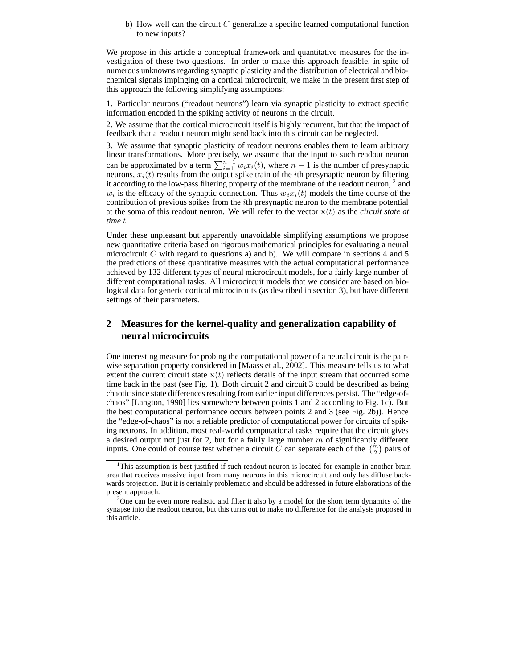#### b) How well can the circuit  $C$  generalize a specific learned computational function to new inputs?

We propose in this article a conceptual framework and quantitative measures for the investigation of these two questions. In order to make this approach feasible, in spite of numerous unknowns regarding synaptic plasticity and the distribution of electrical and biochemical signals impinging on a cortical microcircuit, we make in the present first step of this approach the following simplifying assumptions:

1. Particular neurons ("readout neurons") learn via synaptic plasticity to extract specific information encoded in the spiking activity of neurons in the circuit.

2. We assume that the cortical microcircuit itself is highly recurrent, but that the impact of feedback that a readout neuron might send back into this circuit can be neglected.<sup>1</sup>

3. We assume that synaptic plasticity of readout neurons enables them to learn arbitrary linear transformations. More precisely, we assume that the input to such readout neuron can be approximated by a term  $\sum_{i=1}^{n-1} w_i x_i(t)$ , where  $n-1$  is the number of presynaptic neurons,  $x_i(t)$  results from the output spike train of the *i*th presynaptic neuron by filtering it according to the low-pass filtering property of the membrane of the readout neuron, <sup>2</sup> and  $w_i$  is the efficacy of the synaptic connection. Thus  $w_i x_i(t)$  models the time course of the contribution of previous spikes from the ith presynaptic neuron to the membrane potential at the soma of this readout neuron. We will refer to the vector  $x(t)$  as the *circuit state at time* t.

Under these unpleasant but apparently unavoidable simplifying assumptions we propose new quantitative criteria based on rigorous mathematical principles for evaluating a neural microcircuit C with regard to questions a) and b). We will compare in sections 4 and 5 the predictions of these quantitative measures with the actual computational performance achieved by 132 different types of neural microcircuit models, for a fairly large number of different computational tasks. All microcircuit models that we consider are based on biological data for generic cortical microcircuits (as described in section 3), but have different settings of their parameters.

## **2 Measures for the kernel-quality and generalization capability of neural microcircuits**

One interesting measure for probing the computational power of a neural circuit is the pairwise separation property considered in [Maass et al., 2002]. This measure tells us to what extent the current circuit state  $x(t)$  reflects details of the input stream that occurred some time back in the past (see Fig. 1). Both circuit 2 and circuit 3 could be described as being chaotic since state differences resulting from earlier input differences persist. The "edge-ofchaos" [Langton, 1990] lies somewhere between points 1 and 2 according to Fig. 1c). But the best computational performance occurs between points 2 and 3 (see Fig. 2b)). Hence the "edge-of-chaos" is not a reliable predictor of computational power for circuits of spiking neurons. In addition, most real-world computational tasks require that the circuit gives a desired output not just for 2, but for a fairly large number  $m$  of significantly different inputs. One could of course test whether a circuit C can separate each of the  $\binom{m}{2}$  pairs of

<sup>&</sup>lt;sup>1</sup>This assumption is best justified if such readout neuron is located for example in another brain area that receives massive input from many neurons in this microcircuit and only has diffuse backwards projection. But it is certainly problematic and should be addressed in future elaborations of the present approach.

<sup>&</sup>lt;sup>2</sup>One can be even more realistic and filter it also by a model for the short term dynamics of the synapse into the readout neuron, but this turns out to make no difference for the analysis proposed in this article.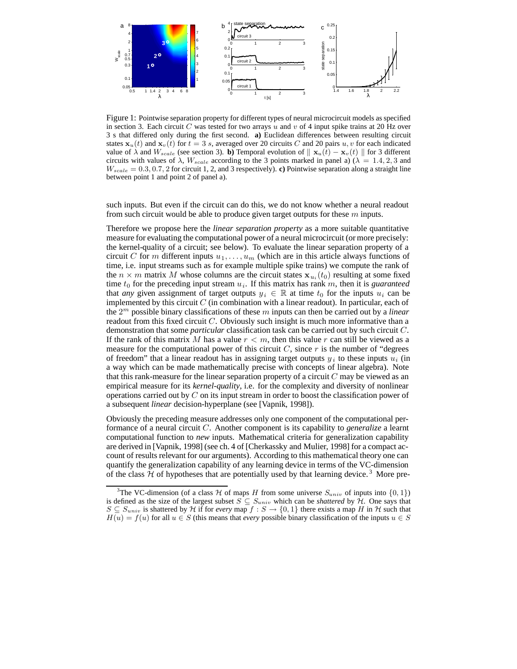

Figure 1: Pointwise separation property for different types of neural microcircuit models as specified in section 3. Each circuit C was tested for two arrays u and v of 4 input spike trains at 20 Hz over 3 s that differed only during the first second. **a)** Euclidean differences between resulting circuit states  $x_u(t)$  and  $x_v(t)$  for  $t = 3$  s, averaged over 20 circuits C and 20 pairs u, v for each indicated value of  $\lambda$  and  $W_{scale}$  (see section 3). **b**) Temporal evolution of  $\|\mathbf{x}_u(t) - \mathbf{x}_v(t)\|$  for 3 different circuits with values of  $\lambda$ ,  $W_{scale}$  according to the 3 points marked in panel a) ( $\lambda = 1.4, 2, 3$  and  $W_{scale} = 0.3, 0.7, 2$  for circuit 1, 2, and 3 respectively). **c**) Pointwise separation along a straight line between point 1 and point 2 of panel a).

such inputs. But even if the circuit can do this, we do not know whether a neural readout from such circuit would be able to produce given target outputs for these  $m$  inputs.

Therefore we propose here the *linear separation property* as a more suitable quantitative measure for evaluating the computational power of a neural microcircuit (or more precisely: the kernel-quality of a circuit; see below). To evaluate the linear separation property of a circuit C for m different inputs  $u_1, \ldots, u_m$  (which are in this article always functions of time, i.e. input streams such as for example multiple spike trains) we compute the rank of the  $n \times m$  matrix M whose columns are the circuit states  $x_{u_i}(t_0)$  resulting at some fixed time  $t_0$  for the preceding input stream  $u_i$ . If this matrix has rank  $m$ , then it is *guaranteed* that *any* given assignment of target outputs  $y_i \in \mathbb{R}$  at time  $t_0$  for the inputs  $u_i$  can be implemented by this circuit  $C$  (in combination with a linear readout). In particular, each of the 2 <sup>m</sup> possible binary classifications of these m inputs can then be carried out by a *linear* readout from this fixed circuit  $C$ . Obviously such insight is much more informative than a demonstration that some *particular* classification task can be carried out by such circuit C. If the rank of this matrix M has a value  $r < m$ , then this value r can still be viewed as a measure for the computational power of this circuit  $C$ , since  $r$  is the number of "degrees of freedom" that a linear readout has in assigning target outputs  $y_i$  to these inputs  $u_i$  (in a way which can be made mathematically precise with concepts of linear algebra). Note that this rank-measure for the linear separation property of a circuit  $C$  may be viewed as an empirical measure for its *kernel-quality*, i.e. for the complexity and diversity of nonlinear operations carried out by  $C$  on its input stream in order to boost the classification power of a subsequent *linear* decision-hyperplane (see [Vapnik, 1998]).

Obviously the preceding measure addresses only one component of the computational performance of a neural circuit C. Another component is its capability to *generalize* a learnt computational function to *new* inputs. Mathematical criteria for generalization capability are derived in [Vapnik, 1998] (see ch. 4 of [Cherkassky and Mulier, 1998] for a compact account of results relevant for our arguments). According to this mathematical theory one can quantify the generalization capability of any learning device in terms of the VC-dimension of the class  $H$  of hypotheses that are potentially used by that learning device.<sup>3</sup> More pre-

<sup>&</sup>lt;sup>3</sup>The VC-dimension (of a class H of maps H from some universe  $S_{univ}$  of inputs into  $\{0, 1\}$ ) is defined as the size of the largest subset  $S \subseteq S_{univ}$  which can be *shattered* by H. One says that  $S \subseteq S_{univ}$  is shattered by H if for *every* map  $f : S \to \{0,1\}$  there exists a map H in H such that  $H(u) = f(u)$  for all  $u \in S$  (this means that *every* possible binary classification of the inputs  $u \in S$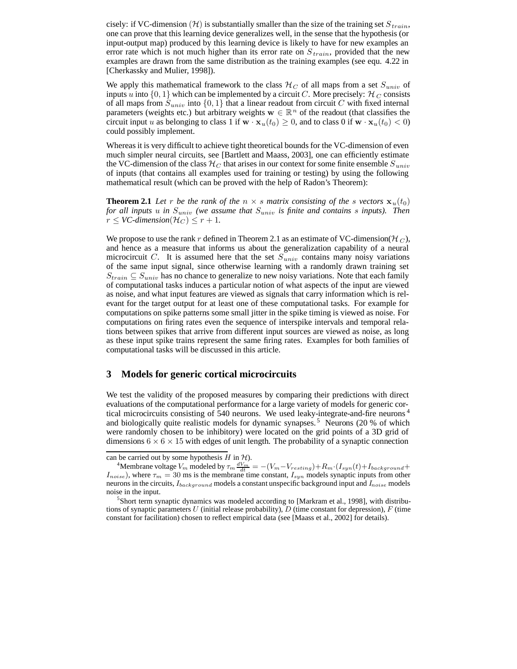cisely: if VC-dimension (H) is substantially smaller than the size of the training set  $S_{train}$ , one can prove that this learning device generalizes well, in the sense that the hypothesis (or input-output map) produced by this learning device is likely to have for new examples an error rate which is not much higher than its error rate on  $S_{train}$ , provided that the new examples are drawn from the same distribution as the training examples (see equ. 4.22 in [Cherkassky and Mulier, 1998]).

We apply this mathematical framework to the class  $\mathcal{H}_C$  of all maps from a set  $S_{univ}$  of inputs u into  $\{0, 1\}$  which can be implemented by a circuit C. More precisely:  $\mathcal{H}_C$  consists of all maps from  $S_{univ}$  into  $\{0, 1\}$  that a linear readout from circuit C with fixed internal parameters (weights etc.) but arbitrary weights  $w \in \mathbb{R}^n$  of the readout (that classifies the circuit input u as belonging to class 1 if  $\mathbf{w} \cdot \mathbf{x}_u(t_0) \ge 0$ , and to class 0 if  $\mathbf{w} \cdot \mathbf{x}_u(t_0) < 0$ could possibly implement.

Whereas it is very difficult to achieve tight theoretical bounds for the VC-dimension of even much simpler neural circuits, see [Bartlett and Maass, 2003], one can efficiently estimate the VC-dimension of the class  $\mathcal{H}_C$  that arises in our context for some finite ensemble  $S_{univ}$ of inputs (that contains all examples used for training or testing) by using the following mathematical result (which can be proved with the help of Radon's Theorem):

**Theorem 2.1** Let r be the rank of the  $n \times s$  matrix consisting of the s vectors  $\mathbf{x}_u(t_0)$ *for all inputs* u *in* Suniv *(we assume that* Suniv *is finite and contains* s *inputs). Then*  $r \leq VC$ -dimension( $\mathcal{H}_C$ )  $\leq r+1$ .

We propose to use the rank r defined in Theorem 2.1 as an estimate of VC-dimension( $\mathcal{H}_C$ ), and hence as a measure that informs us about the generalization capability of a neural microcircuit C. It is assumed here that the set  $S_{univ}$  contains many noisy variations of the same input signal, since otherwise learning with a randomly drawn training set  $S_{train} \subseteq S_{univ}$  has no chance to generalize to new noisy variations. Note that each family of computational tasks induces a particular notion of what aspects of the input are viewed as noise, and what input features are viewed as signals that carry information which is relevant for the target output for at least one of these computational tasks. For example for computations on spike patterns some small jitter in the spike timing is viewed as noise. For computations on firing rates even the sequence of interspike intervals and temporal relations between spikes that arrive from different input sources are viewed as noise, as long as these input spike trains represent the same firing rates. Examples for both families of computational tasks will be discussed in this article.

#### **3 Models for generic cortical microcircuits**

We test the validity of the proposed measures by comparing their predictions with direct evaluations of the computational performance for a large variety of models for generic cortical microcircuits consisting of 540 neurons. We used leaky-integrate-and-fire neurons <sup>4</sup> and biologically quite realistic models for dynamic synapses. <sup>5</sup> Neurons (20 % of which were randomly chosen to be inhibitory) were located on the grid points of a 3D grid of dimensions  $6 \times 6 \times 15$  with edges of unit length. The probability of a synaptic connection

can be carried out by some hypothesis  $H$  in  $H$ ).

<sup>&</sup>lt;sup>4</sup>Membrane voltage  $V_m$  modeled by  $\tau_m \frac{dV_m}{dt} = -(V_m - V_{resting}) + R_m \cdot (I_{syn}(t) + I_{background} + I_{noise})$ , where  $\tau_m = 30$  ms is the membrane time constant,  $I_{syn}$  models synaptic inputs from other neurons in the circuits,  $I_{background}$  models a constant unspecific background input and  $I_{noise}$  models noise in the input.

<sup>&</sup>lt;sup>5</sup>Short term synaptic dynamics was modeled according to [Markram et al., 1998], with distributions of synaptic parameters U (initial release probability),  $D$  (time constant for depression),  $F$  (time constant for facilitation) chosen to reflect empirical data (see [Maass et al., 2002] for details).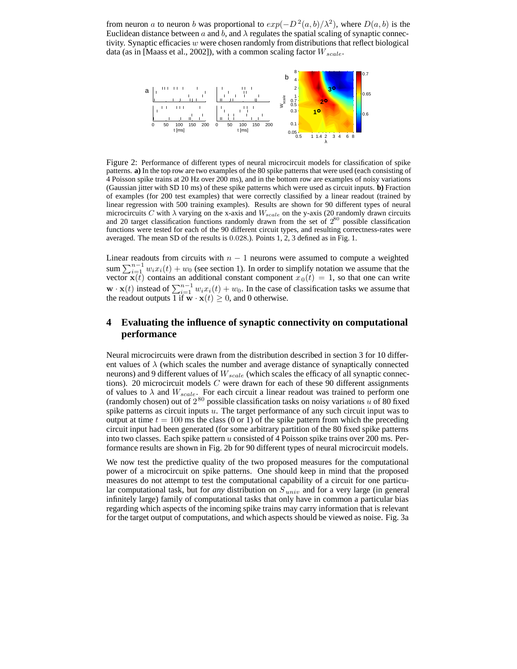from neuron a to neuron b was proportional to  $exp(-D^2(a, b)/\lambda^2)$ , where  $D(a, b)$  is the Euclidean distance between a and b, and  $\lambda$  regulates the spatial scaling of synaptic connectivity. Synaptic efficacies w were chosen randomly from distributions that reflect biological data (as in [Maass et al., 2002]), with a common scaling factor  $W_{scale}$ .



Figure 2: Performance of different types of neural microcircuit models for classification of spike patterns. **a)** In the top row are two examples of the 80 spike patterns that were used (each consisting of 4 Poisson spike trains at 20 Hz over 200 ms), and in the bottom row are examples of noisy variations (Gaussian jitter with SD 10 ms) of these spike patterns which were used as circuit inputs. **b)** Fraction of examples (for 200 test examples) that were correctly classified by a linear readout (trained by linear regression with 500 training examples). Results are shown for 90 different types of neural microcircuits C with  $\lambda$  varying on the x-axis and  $W_{scale}$  on the y-axis (20 randomly drawn circuits and 20 target classification functions randomly drawn from the set of  $2^{80}$  possible classification functions were tested for each of the 90 different circuit types, and resulting correctness-rates were averaged. The mean SD of the results is 0.028.). Points 1, 2, 3 defined as in Fig. 1.

Linear readouts from circuits with  $n - 1$  neurons were assumed to compute a weighted sum  $\sum_{i=1}^{n-1} w_i x_i(t) + w_0$  (see section 1). In order to simplify notation we assume that the vector  $\mathbf{x}(t)$  contains an additional constant component  $x_0(t) = 1$ , so that one can write  $\mathbf{w} \cdot \mathbf{x}(t)$  instead of  $\sum_{i=1}^{n-1} w_i x_i(t) + w_0$ . In the case of classification tasks we assume that the readout outputs  $\overline{1}$  if  $\mathbf{w} \cdot \mathbf{x}(t) \geq 0$ , and 0 otherwise.

## **4 Evaluating the influence of synaptic connectivity on computational performance**

Neural microcircuits were drawn from the distribution described in section 3 for 10 different values of  $\lambda$  (which scales the number and average distance of synaptically connected neurons) and 9 different values of  $W_{scale}$  (which scales the efficacy of all synaptic connections). 20 microcircuit models  $C$  were drawn for each of these 90 different assignments of values to  $\lambda$  and  $W_{scale}$ . For each circuit a linear readout was trained to perform one (randomly chosen) out of  $2^{80}$  possible classification tasks on noisy variations u of 80 fixed spike patterns as circuit inputs  $u$ . The target performance of any such circuit input was to output at time  $t = 100$  ms the class (0 or 1) of the spike pattern from which the preceding circuit input had been generated (for some arbitrary partition of the 80 fixed spike patterns into two classes. Each spike pattern u consisted of 4 Poisson spike trains over 200 ms. Performance results are shown in Fig. 2b for 90 different types of neural microcircuit models.

We now test the predictive quality of the two proposed measures for the computational power of a microcircuit on spike patterns. One should keep in mind that the proposed measures do not attempt to test the computational capability of a circuit for one particular computational task, but for *any* distribution on  $S_{univ}$  and for a very large (in general infinitely large) family of computational tasks that only have in common a particular bias regarding which aspects of the incoming spike trains may carry information that is relevant for the target output of computations, and which aspects should be viewed as noise. Fig. 3a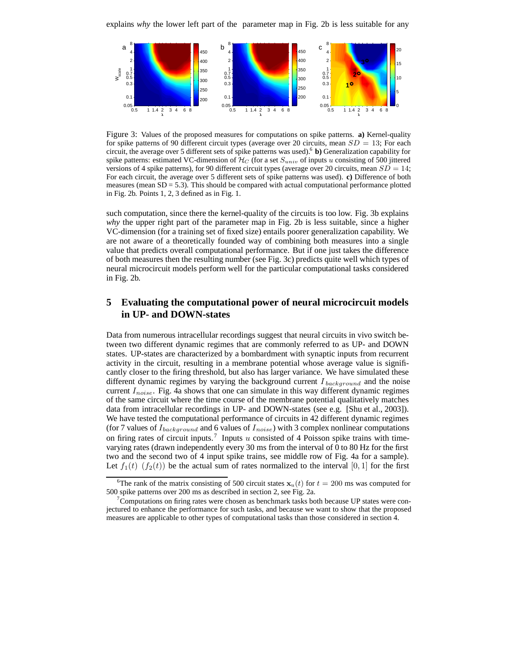

Figure 3: Values of the proposed measures for computations on spike patterns. **a)** Kernel-quality for spike patterns of 90 different circuit types (average over 20 circuits, mean  $SD = 13$ ; For each circuit, the average over 5 different sets of spike patterns was used).<sup>6</sup> **b)** Generalization capability for spike patterns: estimated VC-dimension of  $H_C$  (for a set  $S_{univ}$  of inputs u consisting of 500 jittered versions of 4 spike patterns), for 90 different circuit types (average over 20 circuits, mean  $SD = 14$ ; For each circuit, the average over 5 different sets of spike patterns was used). **c)** Difference of both measures (mean  $SD = 5.3$ ). This should be compared with actual computational performance plotted in Fig. 2b. Points 1, 2, 3 defined as in Fig. 1.

such computation, since there the kernel-quality of the circuits is too low. Fig. 3b explains *why* the upper right part of the parameter map in Fig. 2b is less suitable, since a higher VC-dimension (for a training set of fixed size) entails poorer generalization capability. We are not aware of a theoretically founded way of combining both measures into a single value that predicts overall computational performance. But if one just takes the difference of both measures then the resulting number (see Fig. 3c) predicts quite well which types of neural microcircuit models perform well for the particular computational tasks considered in Fig. 2b.

## **5 Evaluating the computational power of neural microcircuit models in UP- and DOWN-states**

Data from numerous intracellular recordings suggest that neural circuits in vivo switch between two different dynamic regimes that are commonly referred to as UP- and DOWN states. UP-states are characterized by a bombardment with synaptic inputs from recurrent activity in the circuit, resulting in a membrane potential whose average value is significantly closer to the firing threshold, but also has larger variance. We have simulated these different dynamic regimes by varying the background current  $I_{background}$  and the noise current  $I_{noise}$ . Fig. 4a shows that one can simulate in this way different dynamic regimes of the same circuit where the time course of the membrane potential qualitatively matches data from intracellular recordings in UP- and DOWN-states (see e.g. [Shu et al., 2003]). We have tested the computational performance of circuits in 42 different dynamic regimes (for 7 values of  $I_{background}$  and 6 values of  $I_{noise}$ ) with 3 complex nonlinear computations on firing rates of circuit inputs.<sup>7</sup> Inputs u consisted of 4 Poisson spike trains with timevarying rates (drawn independently every 30 ms from the interval of 0 to 80 Hz for the first two and the second two of 4 input spike trains, see middle row of Fig. 4a for a sample). Let  $f_1(t)$   $(f_2(t))$  be the actual sum of rates normalized to the interval [0, 1] for the first

<sup>&</sup>lt;sup>6</sup>The rank of the matrix consisting of 500 circuit states  $x_u(t)$  for  $t = 200$  ms was computed for 500 spike patterns over 200 ms as described in section 2, see Fig. 2a.

 $7$ Computations on firing rates were chosen as benchmark tasks both because UP states were conjectured to enhance the performance for such tasks, and because we want to show that the proposed measures are applicable to other types of computational tasks than those considered in section 4.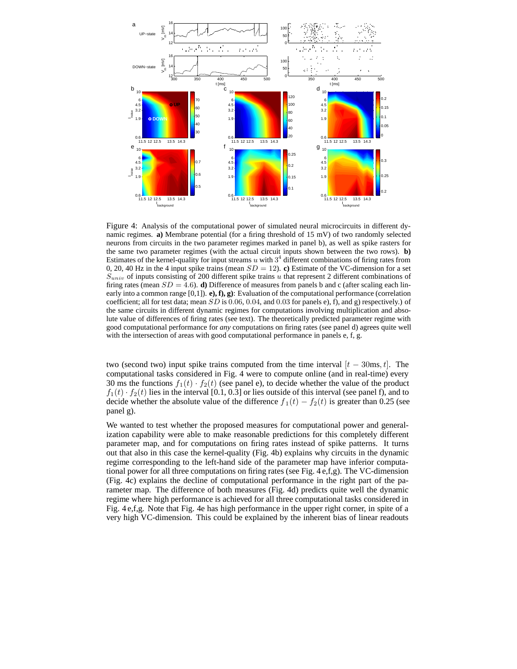

Figure 4: Analysis of the computational power of simulated neural microcircuits in different dynamic regimes. **a)** Membrane potential (for a firing threshold of 15 mV) of two randomly selected neurons from circuits in the two parameter regimes marked in panel b), as well as spike rasters for the same two parameter regimes (with the actual circuit inputs shown between the two rows). **b)** Estimates of the kernel-quality for input streams u with  $3<sup>4</sup>$  different combinations of firing rates from 0, 20, 40 Hz in the 4 input spike trains (mean  $SD = 12$ ). **c**) Estimate of the VC-dimension for a set  $S_{univ}$  of inputs consisting of 200 different spike trains u that represent 2 different combinations of firing rates (mean  $SD = 4.6$ ). **d**) Difference of measures from panels b and c (after scaling each linearly into a common range [0,1]). **e), f), g)**: Evaluation of the computational performance (correlation coefficient; all for test data; mean  $SD$  is 0.06, 0.04, and 0.03 for panels e), f), and g) respectively.) of the same circuits in different dynamic regimes for computations involving multiplication and absolute value of differences of firing rates (see text). The theoretically predicted parameter regime with good computational performance for *any* computations on firing rates (see panel d) agrees quite well with the intersection of areas with good computational performance in panels e, f, g.

two (second two) input spike trains computed from the time interval  $[t - 30ms, t]$ . The computational tasks considered in Fig. 4 were to compute online (and in real-time) every 30 ms the functions  $f_1(t) \cdot f_2(t)$  (see panel e), to decide whether the value of the product  $f_1(t) \cdot f_2(t)$  lies in the interval [0.1, 0.3] or lies outside of this interval (see panel f), and to decide whether the absolute value of the difference  $f_1(t) - f_2(t)$  is greater than 0.25 (see panel g).

We wanted to test whether the proposed measures for computational power and generalization capability were able to make reasonable predictions for this completely different parameter map, and for computations on firing rates instead of spike patterns. It turns out that also in this case the kernel-quality (Fig. 4b) explains why circuits in the dynamic regime corresponding to the left-hand side of the parameter map have inferior computational power for all three computations on firing rates (see Fig. 4 e,f,g). The VC-dimension (Fig. 4c) explains the decline of computational performance in the right part of the parameter map. The difference of both measures (Fig. 4d) predicts quite well the dynamic regime where high performance is achieved for all three computational tasks considered in Fig. 4 e,f,g. Note that Fig. 4e has high performance in the upper right corner, in spite of a very high VC-dimension. This could be explained by the inherent bias of linear readouts